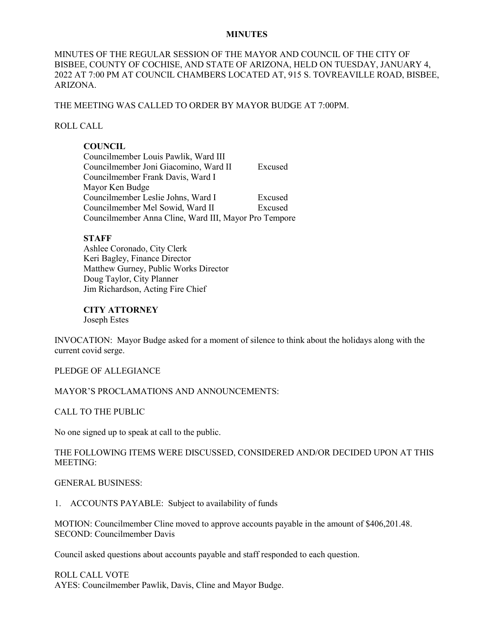#### **MINUTES**

MINUTES OF THE REGULAR SESSION OF THE MAYOR AND COUNCIL OF THE CITY OF BISBEE, COUNTY OF COCHISE, AND STATE OF ARIZONA, HELD ON TUESDAY, JANUARY 4, 2022 AT 7:00 PM AT COUNCIL CHAMBERS LOCATED AT, 915 S. TOVREAVILLE ROAD, BISBEE, ARIZONA.

#### THE MEETING WAS CALLED TO ORDER BY MAYOR BUDGE AT 7:00PM.

### ROLL CALL

## **COUNCIL**

| Councilmember Louis Pawlik, Ward III                  |         |
|-------------------------------------------------------|---------|
| Councilmember Joni Giacomino, Ward II                 | Excused |
| Councilmember Frank Davis, Ward I                     |         |
| Mayor Ken Budge                                       |         |
| Councilmember Leslie Johns, Ward I                    | Excused |
| Councilmember Mel Sowid, Ward II                      | Excused |
| Councilmember Anna Cline, Ward III, Mayor Pro Tempore |         |

#### **STAFF**

Ashlee Coronado, City Clerk Keri Bagley, Finance Director Matthew Gurney, Public Works Director Doug Taylor, City Planner Jim Richardson, Acting Fire Chief

**CITY ATTORNEY** Joseph Estes

INVOCATION: Mayor Budge asked for a moment of silence to think about the holidays along with the current covid serge.

#### PLEDGE OF ALLEGIANCE

### MAYOR'S PROCLAMATIONS AND ANNOUNCEMENTS:

CALL TO THE PUBLIC

No one signed up to speak at call to the public.

## THE FOLLOWING ITEMS WERE DISCUSSED, CONSIDERED AND/OR DECIDED UPON AT THIS MEETING:

#### GENERAL BUSINESS:

1. ACCOUNTS PAYABLE: Subject to availability of funds

MOTION: Councilmember Cline moved to approve accounts payable in the amount of \$406,201.48. SECOND: Councilmember Davis

Council asked questions about accounts payable and staff responded to each question.

## ROLL CALL VOTE

AYES: Councilmember Pawlik, Davis, Cline and Mayor Budge.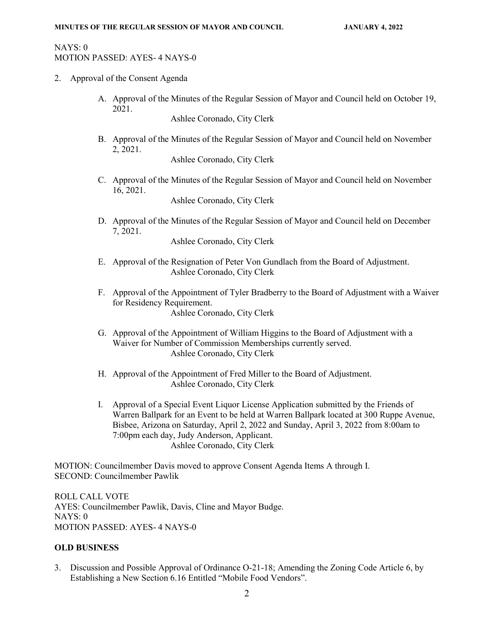# NAYS: 0 MOTION PASSED: AYES- 4 NAYS-0

- 2. Approval of the Consent Agenda
	- A. Approval of the Minutes of the Regular Session of Mayor and Council held on October 19, 2021.

Ashlee Coronado, City Clerk

B. Approval of the Minutes of the Regular Session of Mayor and Council held on November 2, 2021.

Ashlee Coronado, City Clerk

C. Approval of the Minutes of the Regular Session of Mayor and Council held on November 16, 2021.

Ashlee Coronado, City Clerk

D. Approval of the Minutes of the Regular Session of Mayor and Council held on December 7, 2021.

Ashlee Coronado, City Clerk

- E. Approval of the Resignation of Peter Von Gundlach from the Board of Adjustment. Ashlee Coronado, City Clerk
- F. Approval of the Appointment of Tyler Bradberry to the Board of Adjustment with a Waiver for Residency Requirement. Ashlee Coronado, City Clerk
- G. Approval of the Appointment of William Higgins to the Board of Adjustment with a Waiver for Number of Commission Memberships currently served. Ashlee Coronado, City Clerk
- H. Approval of the Appointment of Fred Miller to the Board of Adjustment. Ashlee Coronado, City Clerk
- I. Approval of a Special Event Liquor License Application submitted by the Friends of Warren Ballpark for an Event to be held at Warren Ballpark located at 300 Ruppe Avenue, Bisbee, Arizona on Saturday, April 2, 2022 and Sunday, April 3, 2022 from 8:00am to 7:00pm each day, Judy Anderson, Applicant. Ashlee Coronado, City Clerk

MOTION: Councilmember Davis moved to approve Consent Agenda Items A through I. SECOND: Councilmember Pawlik

ROLL CALL VOTE AYES: Councilmember Pawlik, Davis, Cline and Mayor Budge. NAYS: 0 MOTION PASSED: AYES- 4 NAYS-0

## **OLD BUSINESS**

3. Discussion and Possible Approval of Ordinance O-21-18; Amending the Zoning Code Article 6, by Establishing a New Section 6.16 Entitled "Mobile Food Vendors".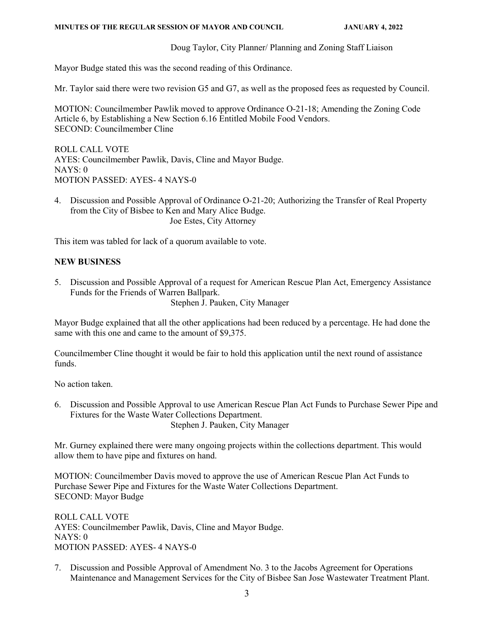### **MINUTES OF THE REGULAR SESSION OF MAYOR AND COUNCIL JANUARY 4, 2022**

Doug Taylor, City Planner/ Planning and Zoning Staff Liaison

Mayor Budge stated this was the second reading of this Ordinance.

Mr. Taylor said there were two revision G5 and G7, as well as the proposed fees as requested by Council.

MOTION: Councilmember Pawlik moved to approve Ordinance O-21-18; Amending the Zoning Code Article 6, by Establishing a New Section 6.16 Entitled Mobile Food Vendors. SECOND: Councilmember Cline

ROLL CALL VOTE AYES: Councilmember Pawlik, Davis, Cline and Mayor Budge. NAYS: 0 MOTION PASSED: AYES- 4 NAYS-0

4. Discussion and Possible Approval of Ordinance O-21-20; Authorizing the Transfer of Real Property from the City of Bisbee to Ken and Mary Alice Budge. Joe Estes, City Attorney

This item was tabled for lack of a quorum available to vote.

# **NEW BUSINESS**

5. Discussion and Possible Approval of a request for American Rescue Plan Act, Emergency Assistance Funds for the Friends of Warren Ballpark.

Stephen J. Pauken, City Manager

Mayor Budge explained that all the other applications had been reduced by a percentage. He had done the same with this one and came to the amount of \$9,375.

Councilmember Cline thought it would be fair to hold this application until the next round of assistance funds.

No action taken.

6. Discussion and Possible Approval to use American Rescue Plan Act Funds to Purchase Sewer Pipe and Fixtures for the Waste Water Collections Department. Stephen J. Pauken, City Manager

Mr. Gurney explained there were many ongoing projects within the collections department. This would allow them to have pipe and fixtures on hand.

MOTION: Councilmember Davis moved to approve the use of American Rescue Plan Act Funds to Purchase Sewer Pipe and Fixtures for the Waste Water Collections Department. SECOND: Mayor Budge

ROLL CALL VOTE AYES: Councilmember Pawlik, Davis, Cline and Mayor Budge. NAYS: 0 MOTION PASSED: AYES- 4 NAYS-0

7. Discussion and Possible Approval of Amendment No. 3 to the Jacobs Agreement for Operations Maintenance and Management Services for the City of Bisbee San Jose Wastewater Treatment Plant.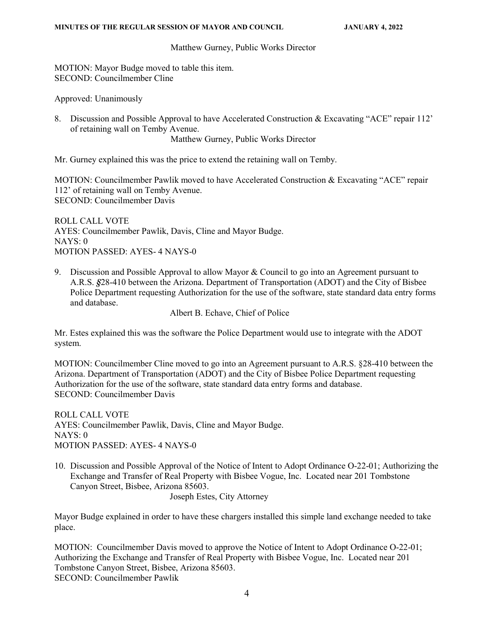#### Matthew Gurney, Public Works Director

MOTION: Mayor Budge moved to table this item. SECOND: Councilmember Cline

Approved: Unanimously

8. Discussion and Possible Approval to have Accelerated Construction & Excavating "ACE" repair 112' of retaining wall on Temby Avenue.

Matthew Gurney, Public Works Director

Mr. Gurney explained this was the price to extend the retaining wall on Temby.

MOTION: Councilmember Pawlik moved to have Accelerated Construction & Excavating "ACE" repair 112' of retaining wall on Temby Avenue. SECOND: Councilmember Davis

ROLL CALL VOTE AYES: Councilmember Pawlik, Davis, Cline and Mayor Budge. NAYS: 0 MOTION PASSED: AYES- 4 NAYS-0

9. Discussion and Possible Approval to allow Mayor  $\&$  Council to go into an Agreement pursuant to A.R.S. *§*28-410 between the Arizona. Department of Transportation (ADOT) and the City of Bisbee Police Department requesting Authorization for the use of the software, state standard data entry forms and database.

Albert B. Echave, Chief of Police

Mr. Estes explained this was the software the Police Department would use to integrate with the ADOT system.

MOTION: Councilmember Cline moved to go into an Agreement pursuant to A.R.S. §28-410 between the Arizona. Department of Transportation (ADOT) and the City of Bisbee Police Department requesting Authorization for the use of the software, state standard data entry forms and database. SECOND: Councilmember Davis

ROLL CALL VOTE AYES: Councilmember Pawlik, Davis, Cline and Mayor Budge. NAYS: 0 MOTION PASSED: AYES- 4 NAYS-0

10. Discussion and Possible Approval of the Notice of Intent to Adopt Ordinance O-22-01; Authorizing the Exchange and Transfer of Real Property with Bisbee Vogue, Inc. Located near 201 Tombstone Canyon Street, Bisbee, Arizona 85603.

Joseph Estes, City Attorney

Mayor Budge explained in order to have these chargers installed this simple land exchange needed to take place.

MOTION: Councilmember Davis moved to approve the Notice of Intent to Adopt Ordinance O-22-01; Authorizing the Exchange and Transfer of Real Property with Bisbee Vogue, Inc. Located near 201 Tombstone Canyon Street, Bisbee, Arizona 85603. SECOND: Councilmember Pawlik